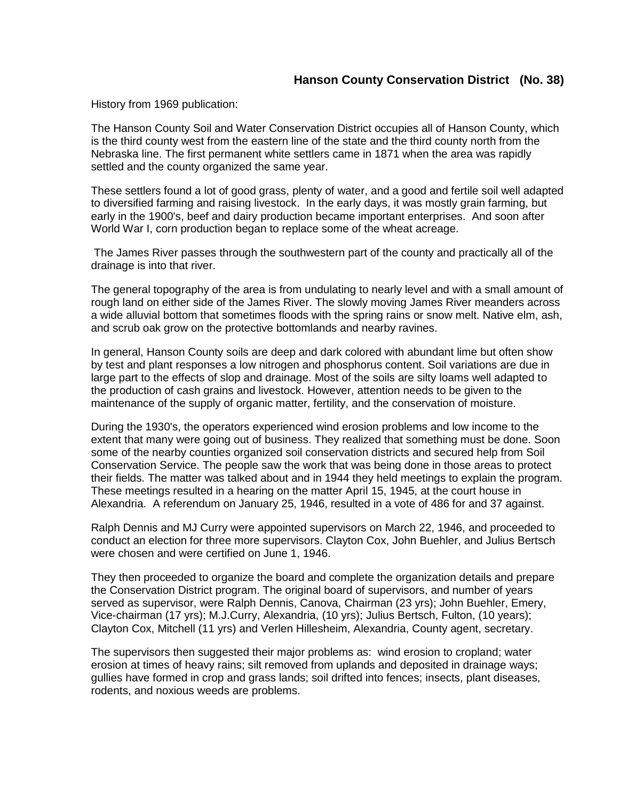History from 1969 publication:

The Hanson County Soil and Water Conservation District occupies all of Hanson County, which is the third county west from the eastern line of the state and the third county north from the Nebraska line. The first permanent white settlers came in 1871 when the area was rapidly settled and the county organized the same year.

These settlers found a lot of good grass, plenty of water, and a good and fertile soil well adapted to diversified farming and raising livestock. In the early days, it was mostly grain farming, but early in the 1900's, beef and dairy production became important enterprises. And soon after World War I, corn production began to replace some of the wheat acreage.

The James River passes through the southwestern part of the county and practically all of the drainage is into that river.

The general topography of the area is from undulating to nearly level and with a small amount of rough land on either side of the James River. The slowly moving James River meanders across a wide alluvial bottom that sometimes floods with the spring rains or snow melt. Native elm, ash, and scrub oak grow on the protective bottomlands and nearby ravines.

In general, Hanson County soils are deep and dark colored with abundant lime but often show by test and plant responses a low nitrogen and phosphorus content. Soil variations are due in large part to the effects of slop and drainage. Most of the soils are silty loams well adapted to the production of cash grains and livestock. However, attention needs to be given to the maintenance of the supply of organic matter, fertility, and the conservation of moisture.

During the 1930's, the operators experienced wind erosion problems and low income to the extent that many were going out of business. They realized that something must be done. Soon some of the nearby counties organized soil conservation districts and secured help from Soil Conservation Service. The people saw the work that was being done in those areas to protect their fields. The matter was talked about and in 1944 they held meetings to explain the program. These meetings resulted in a hearing on the matter April 15, 1945, at the court house in Alexandria. A referendum on January 25, 1946, resulted in a vote of 486 for and 37 against.

Ralph Dennis and MJ Curry were appointed supervisors on March 22, 1946, and proceeded to conduct an election for three more supervisors. Clayton Cox, John Buehler, and Julius Bertsch were chosen and were certified on June 1, 1946.

They then proceeded to organize the board and complete the organization details and prepare the Conservation District program. The original board of supervisors, and number of years served as supervisor, were Ralph Dennis, Canova, Chairman (23 yrs); John Buehler, Emery, Vice-chairman (17 yrs); M.J.Curry, Alexandria, (10 yrs); Julius Bertsch, Fulton, (10 years); Clayton Cox, Mitchell (11 yrs) and Verlen Hillesheim, Alexandria, County agent, secretary.

The supervisors then suggested their major problems as: wind erosion to cropland; water erosion at times of heavy rains; silt removed from uplands and deposited in drainage ways; gullies have formed in crop and grass lands; soil drifted into fences; insects, plant diseases, rodents, and noxious weeds are problems.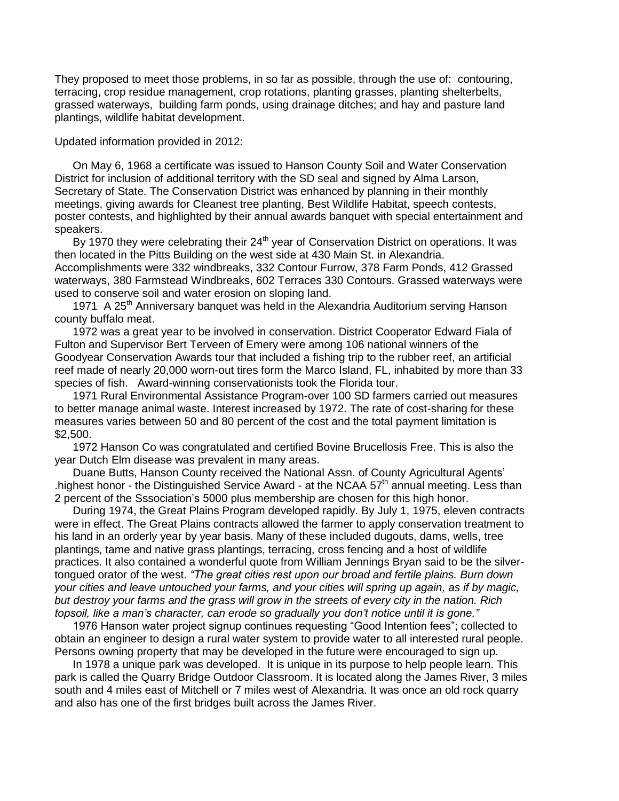They proposed to meet those problems, in so far as possible, through the use of: contouring, terracing, crop residue management, crop rotations, planting grasses, planting shelterbelts, grassed waterways, building farm ponds, using drainage ditches; and hay and pasture land plantings, wildlife habitat development.

Updated information provided in 2012:

On May 6, 1968 a certificate was issued to Hanson County Soil and Water Conservation District for inclusion of additional territory with the SD seal and signed by Alma Larson, Secretary of State. The Conservation District was enhanced by planning in their monthly meetings, giving awards for Cleanest tree planting, Best Wildlife Habitat, speech contests, poster contests, and highlighted by their annual awards banquet with special entertainment and speakers.

By 1970 they were celebrating their  $24<sup>th</sup>$  year of Conservation District on operations. It was then located in the Pitts Building on the west side at 430 Main St. in Alexandria. Accomplishments were 332 windbreaks, 332 Contour Furrow, 378 Farm Ponds, 412 Grassed waterways, 380 Farmstead Windbreaks, 602 Terraces 330 Contours. Grassed waterways were used to conserve soil and water erosion on sloping land.

1971 A 25<sup>th</sup> Anniversary banquet was held in the Alexandria Auditorium serving Hanson county buffalo meat.

1972 was a great year to be involved in conservation. District Cooperator Edward Fiala of Fulton and Supervisor Bert Terveen of Emery were among 106 national winners of the Goodyear Conservation Awards tour that included a fishing trip to the rubber reef, an artificial reef made of nearly 20,000 worn-out tires form the Marco Island, FL, inhabited by more than 33 species of fish. Award-winning conservationists took the Florida tour.

1971 Rural Environmental Assistance Program-over 100 SD farmers carried out measures to better manage animal waste. Interest increased by 1972. The rate of cost-sharing for these measures varies between 50 and 80 percent of the cost and the total payment limitation is \$2,500.

1972 Hanson Co was congratulated and certified Bovine Brucellosis Free. This is also the year Dutch Elm disease was prevalent in many areas.

Duane Butts, Hanson County received the National Assn. of County Agricultural Agents' .highest honor - the Distinguished Service Award - at the NCAA  $57<sup>th</sup>$  annual meeting. Less than 2 percent of the Sssociation's 5000 plus membership are chosen for this high honor.

During 1974, the Great Plains Program developed rapidly. By July 1, 1975, eleven contracts were in effect. The Great Plains contracts allowed the farmer to apply conservation treatment to his land in an orderly year by year basis. Many of these included dugouts, dams, wells, tree plantings, tame and native grass plantings, terracing, cross fencing and a host of wildlife practices. It also contained a wonderful quote from William Jennings Bryan said to be the silvertongued orator of the west. *"The great cities rest upon our broad and fertile plains. Burn down your cities and leave untouched your farms, and your cities will spring up again, as if by magic, but destroy your farms and the grass will grow in the streets of every city in the nation. Rich topsoil, like a man's character, can erode so gradually you don't notice until it is gone."*

1976 Hanson water project signup continues requesting "Good Intention fees"; collected to obtain an engineer to design a rural water system to provide water to all interested rural people. Persons owning property that may be developed in the future were encouraged to sign up.

In 1978 a unique park was developed. It is unique in its purpose to help people learn. This park is called the Quarry Bridge Outdoor Classroom. It is located along the James River, 3 miles south and 4 miles east of Mitchell or 7 miles west of Alexandria. It was once an old rock quarry and also has one of the first bridges built across the James River.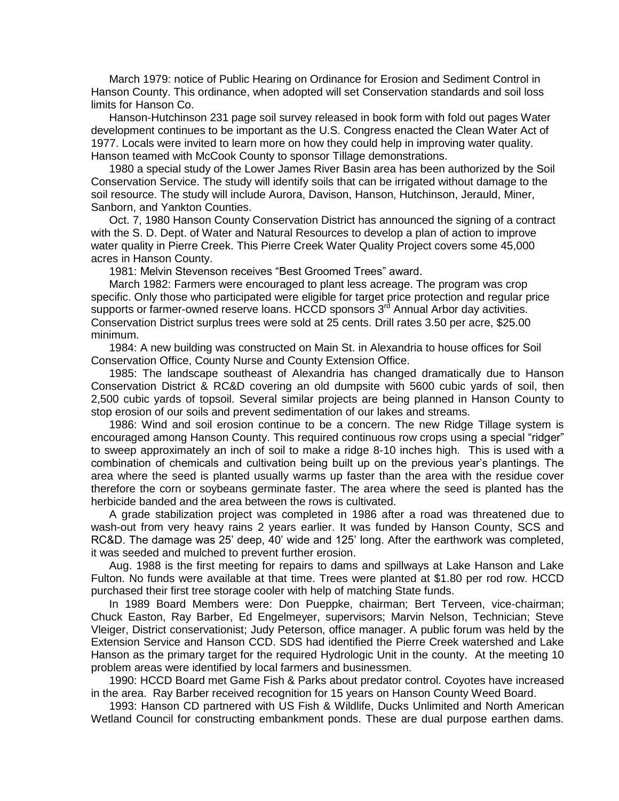March 1979: notice of Public Hearing on Ordinance for Erosion and Sediment Control in Hanson County. This ordinance, when adopted will set Conservation standards and soil loss limits for Hanson Co.

Hanson-Hutchinson 231 page soil survey released in book form with fold out pages Water development continues to be important as the U.S. Congress enacted the Clean Water Act of 1977. Locals were invited to learn more on how they could help in improving water quality. Hanson teamed with McCook County to sponsor Tillage demonstrations.

1980 a special study of the Lower James River Basin area has been authorized by the Soil Conservation Service. The study will identify soils that can be irrigated without damage to the soil resource. The study will include Aurora, Davison, Hanson, Hutchinson, Jerauld, Miner, Sanborn, and Yankton Counties.

Oct. 7, 1980 Hanson County Conservation District has announced the signing of a contract with the S. D. Dept. of Water and Natural Resources to develop a plan of action to improve water quality in Pierre Creek. This Pierre Creek Water Quality Project covers some 45,000 acres in Hanson County.

1981: Melvin Stevenson receives "Best Groomed Trees" award.

March 1982: Farmers were encouraged to plant less acreage. The program was crop specific. Only those who participated were eligible for target price protection and regular price supports or farmer-owned reserve loans. HCCD sponsors  $3<sup>rd</sup>$  Annual Arbor day activities. Conservation District surplus trees were sold at 25 cents. Drill rates 3.50 per acre, \$25.00 minimum.

1984: A new building was constructed on Main St. in Alexandria to house offices for Soil Conservation Office, County Nurse and County Extension Office.

1985: The landscape southeast of Alexandria has changed dramatically due to Hanson Conservation District & RC&D covering an old dumpsite with 5600 cubic yards of soil, then 2,500 cubic yards of topsoil. Several similar projects are being planned in Hanson County to stop erosion of our soils and prevent sedimentation of our lakes and streams.

1986: Wind and soil erosion continue to be a concern. The new Ridge Tillage system is encouraged among Hanson County. This required continuous row crops using a special "ridger" to sweep approximately an inch of soil to make a ridge 8-10 inches high. This is used with a combination of chemicals and cultivation being built up on the previous year's plantings. The area where the seed is planted usually warms up faster than the area with the residue cover therefore the corn or soybeans germinate faster. The area where the seed is planted has the herbicide banded and the area between the rows is cultivated.

A grade stabilization project was completed in 1986 after a road was threatened due to wash-out from very heavy rains 2 years earlier. It was funded by Hanson County, SCS and RC&D. The damage was 25' deep, 40' wide and 125' long. After the earthwork was completed, it was seeded and mulched to prevent further erosion.

Aug. 1988 is the first meeting for repairs to dams and spillways at Lake Hanson and Lake Fulton. No funds were available at that time. Trees were planted at \$1.80 per rod row. HCCD purchased their first tree storage cooler with help of matching State funds.

In 1989 Board Members were: Don Pueppke, chairman; Bert Terveen, vice-chairman; Chuck Easton, Ray Barber, Ed Engelmeyer, supervisors; Marvin Nelson, Technician; Steve Vleiger, District conservationist; Judy Peterson, office manager. A public forum was held by the Extension Service and Hanson CCD. SDS had identified the Pierre Creek watershed and Lake Hanson as the primary target for the required Hydrologic Unit in the county. At the meeting 10 problem areas were identified by local farmers and businessmen.

1990: HCCD Board met Game Fish & Parks about predator control. Coyotes have increased in the area. Ray Barber received recognition for 15 years on Hanson County Weed Board.

1993: Hanson CD partnered with US Fish & Wildlife, Ducks Unlimited and North American Wetland Council for constructing embankment ponds. These are dual purpose earthen dams.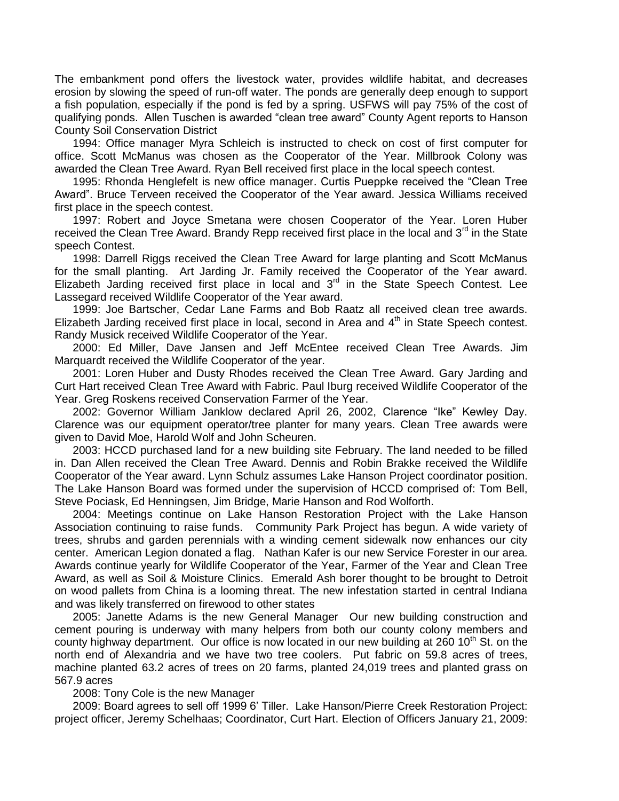The embankment pond offers the livestock water, provides wildlife habitat, and decreases erosion by slowing the speed of run-off water. The ponds are generally deep enough to support a fish population, especially if the pond is fed by a spring. USFWS will pay 75% of the cost of qualifying ponds. Allen Tuschen is awarded "clean tree award" County Agent reports to Hanson County Soil Conservation District

1994: Office manager Myra Schleich is instructed to check on cost of first computer for office. Scott McManus was chosen as the Cooperator of the Year. Millbrook Colony was awarded the Clean Tree Award. Ryan Bell received first place in the local speech contest.

1995: Rhonda Henglefelt is new office manager. Curtis Pueppke received the "Clean Tree Award". Bruce Terveen received the Cooperator of the Year award. Jessica Williams received first place in the speech contest.

1997: Robert and Joyce Smetana were chosen Cooperator of the Year. Loren Huber received the Clean Tree Award. Brandy Repp received first place in the local and  $3<sup>rd</sup>$  in the State speech Contest.

1998: Darrell Riggs received the Clean Tree Award for large planting and Scott McManus for the small planting. Art Jarding Jr. Family received the Cooperator of the Year award. Elizabeth Jarding received first place in local and  $3<sup>rd</sup>$  in the State Speech Contest. Lee Lassegard received Wildlife Cooperator of the Year award.

1999: Joe Bartscher, Cedar Lane Farms and Bob Raatz all received clean tree awards. Elizabeth Jarding received first place in local, second in Area and 4<sup>th</sup> in State Speech contest. Randy Musick received Wildlife Cooperator of the Year.

2000: Ed Miller, Dave Jansen and Jeff McEntee received Clean Tree Awards. Jim Marquardt received the Wildlife Cooperator of the year.

2001: Loren Huber and Dusty Rhodes received the Clean Tree Award. Gary Jarding and Curt Hart received Clean Tree Award with Fabric. Paul Iburg received Wildlife Cooperator of the Year. Greg Roskens received Conservation Farmer of the Year.

2002: Governor William Janklow declared April 26, 2002, Clarence "Ike" Kewley Day. Clarence was our equipment operator/tree planter for many years. Clean Tree awards were given to David Moe, Harold Wolf and John Scheuren.

2003: HCCD purchased land for a new building site February. The land needed to be filled in. Dan Allen received the Clean Tree Award. Dennis and Robin Brakke received the Wildlife Cooperator of the Year award. Lynn Schulz assumes Lake Hanson Project coordinator position. The Lake Hanson Board was formed under the supervision of HCCD comprised of: Tom Bell, Steve Pociask, Ed Henningsen, Jim Bridge, Marie Hanson and Rod Wolforth.

2004: Meetings continue on Lake Hanson Restoration Project with the Lake Hanson Association continuing to raise funds. Community Park Project has begun. A wide variety of trees, shrubs and garden perennials with a winding cement sidewalk now enhances our city center. American Legion donated a flag. Nathan Kafer is our new Service Forester in our area. Awards continue yearly for Wildlife Cooperator of the Year, Farmer of the Year and Clean Tree Award, as well as Soil & Moisture Clinics. Emerald Ash borer thought to be brought to Detroit on wood pallets from China is a looming threat. The new infestation started in central Indiana and was likely transferred on firewood to other states

2005: Janette Adams is the new General Manager Our new building construction and cement pouring is underway with many helpers from both our county colony members and county highway department. Our office is now located in our new building at 260  $10<sup>th</sup>$  St. on the north end of Alexandria and we have two tree coolers. Put fabric on 59.8 acres of trees, machine planted 63.2 acres of trees on 20 farms, planted 24,019 trees and planted grass on 567.9 acres

2008: Tony Cole is the new Manager

2009: Board agrees to sell off 1999 6' Tiller. Lake Hanson/Pierre Creek Restoration Project: project officer, Jeremy Schelhaas; Coordinator, Curt Hart. Election of Officers January 21, 2009: